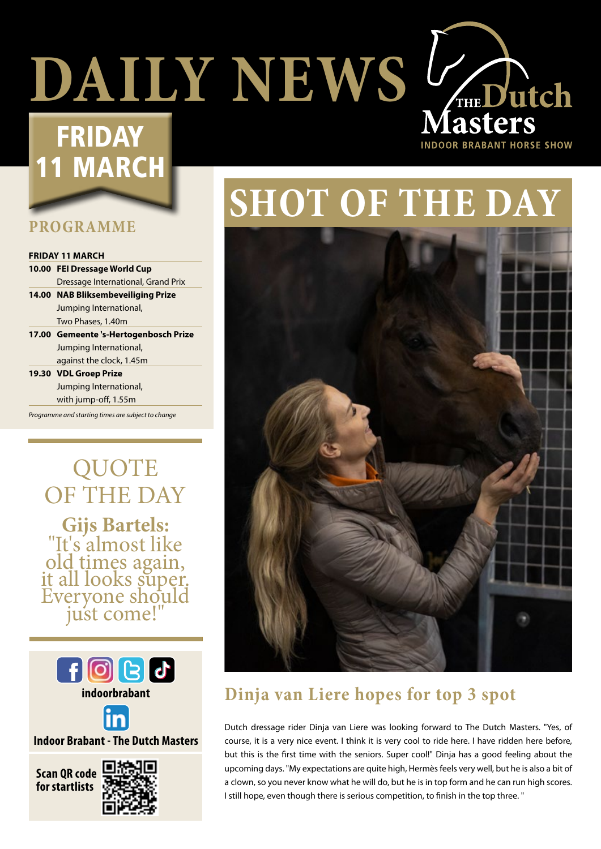# **DAILY NEWS V<sub>THE</sub> Dutch**

## FRIDAY 1 MARCH

#### **PROGRAMME**

#### **FRIDAY 11 MARCH**

**10.00 FEI Dressage World Cup**  Dressage International, Grand Prix **14.00 NAB Bliksembeveiliging Prize** Jumping International,

Two Phases, 1.40m

- **17.00 Gemeente 's-Hertogenbosch Prize** Jumping International, against the clock, 1.45m
- **19.30 VDL Groep Prize** Jumping International, with jump-off, 1.55m

*Programme and starting times are subject to change*

**QUOTE** OF THE DAY **Gijs Bartels:** "It's almost like old times again, it all looks super. Everyone should just come!"



**indoorbrabant**



**Indoor Brabant - The Dutch Masters**





# **SHOT OF THE DAY**

**INDOOR BRABANT HORSE SHOW** 



#### **Dinja van Liere hopes for top 3 spot**

Dutch dressage rider Dinja van Liere was looking forward to The Dutch Masters. "Yes, of course, it is a very nice event. I think it is very cool to ride here. I have ridden here before, but this is the first time with the seniors. Super cool!" Dinja has a good feeling about the upcoming days. "My expectations are quite high, Hermès feels very well, but he is also a bit of a clown, so you never know what he will do, but he is in top form and he can run high scores. I still hope, even though there is serious competition, to finish in the top three. "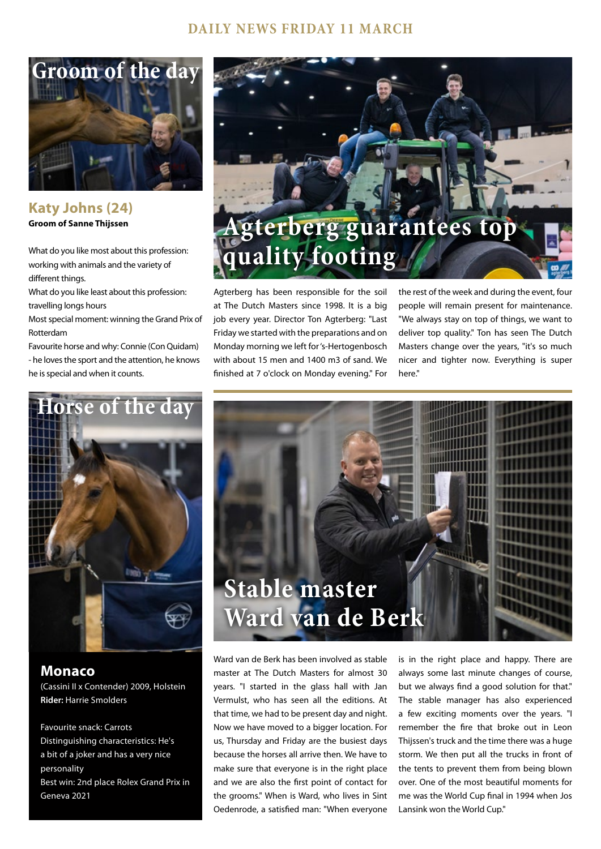#### **DAILY NEWS FRIDAY 11 MARCH**



**Katy Johns (24) Groom of Sanne Thijssen**

What do you like most about this profession: working with animals and the variety of different things.

What do you like least about this profession: travelling longs hours

Most special moment: winning the Grand Prix of Rotterdam

Favourite horse and why: Connie (Con Quidam) - he loves the sport and the attention, he knows he is special and when it counts.



Agterberg has been responsible for the soil at The Dutch Masters since 1998. It is a big job every year. Director Ton Agterberg: "Last Friday we started with the preparations and on Monday morning we left for 's-Hertogenbosch with about 15 men and 1400 m3 of sand. We finished at 7 o'clock on Monday evening." For

the rest of the week and during the event, four people will remain present for maintenance. "We always stay on top of things, we want to deliver top quality." Ton has seen The Dutch Masters change over the years, "it's so much nicer and tighter now. Everything is super here."



**Monaco**  (Cassini II x Contender) 2009, Holstein **Rider:** Harrie Smolders

Favourite snack: Carrots Distinguishing characteristics: He's a bit of a joker and has a very nice personality Best win: 2nd place Rolex Grand Prix in Geneva 2021



Ward van de Berk has been involved as stable master at The Dutch Masters for almost 30 years. "I started in the glass hall with Jan Vermulst, who has seen all the editions. At that time, we had to be present day and night. Now we have moved to a bigger location. For us, Thursday and Friday are the busiest days because the horses all arrive then. We have to make sure that everyone is in the right place and we are also the first point of contact for the grooms." When is Ward, who lives in Sint Oedenrode, a satisfied man: "When everyone

is in the right place and happy. There are always some last minute changes of course, but we always find a good solution for that." The stable manager has also experienced a few exciting moments over the years. "I remember the fire that broke out in Leon Thijssen's truck and the time there was a huge storm. We then put all the trucks in front of the tents to prevent them from being blown over. One of the most beautiful moments for me was the World Cup final in 1994 when Jos Lansink won the World Cup."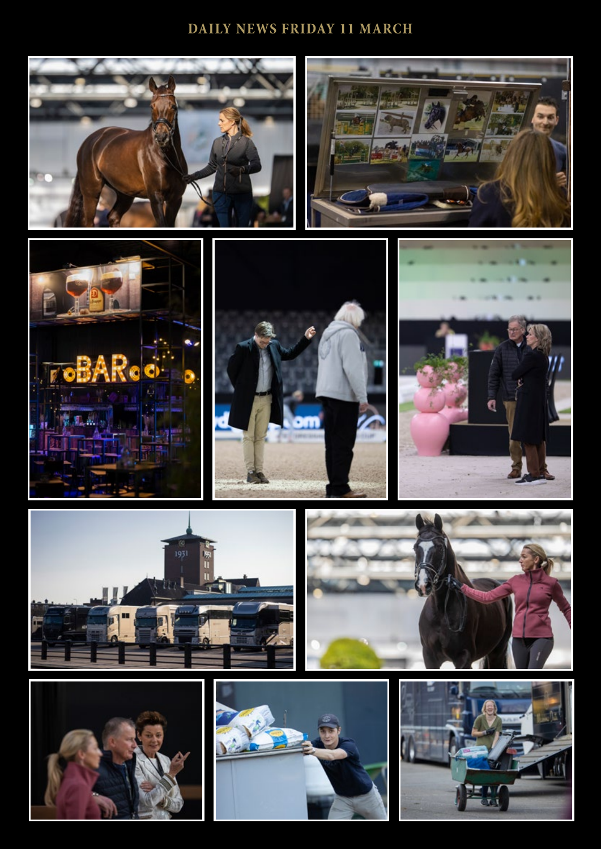#### **DAILY NEWS FRIDAY 11 MARCH**